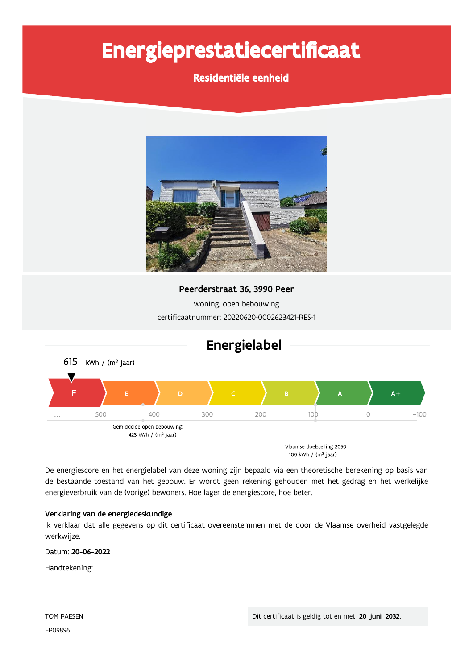# Energieprestatiecertificaat

### Residentiële eenheid



Peerderstraat 36, 3990 Peer woning, open bebouwing

certificaatnummer: 20220620-0002623421-RES-1



De energiescore en het energielabel van deze woning zijn bepaald via een theoretische berekening op basis van de bestaande toestand van het gebouw. Er wordt geen rekening gehouden met het gedrag en het werkelijke energieverbruik van de (vorige) bewoners. Hoe lager de energiescore, hoe beter.

#### Verklaring van de energiedeskundige

Ik verklaar dat alle gegevens op dit certificaat overeenstemmen met de door de Vlaamse overheid vastgelegde werkwijze.

Datum: 20-06-2022

Handtekening: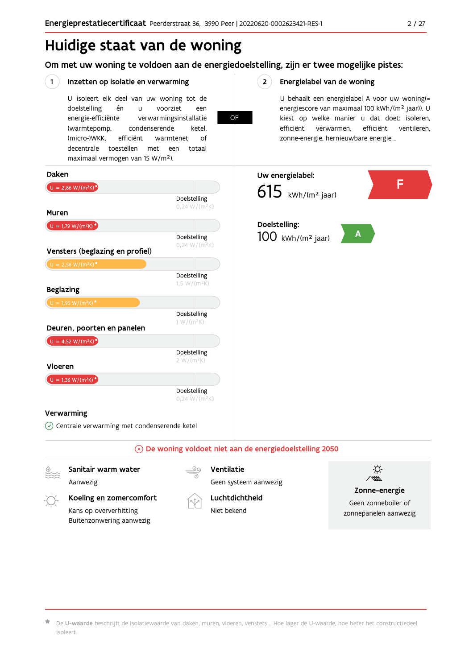## Huidige staat van de woning

Om met uw woning te voldoen aan de energiedoelstelling, zijn er twee mogelijke pistes:

OF

#### $(1)$ Inzetten op isolatie en verwarming

U isoleert elk deel van uw woning tot de én voorziet doelstelling  $\mathbf{u}$ een energie-efficiënte verwarmingsinstallatie (warmtepomp, condenserende ketel. (micro-)WKK. efficiënt warmtenet  $\bigcap_{ }$ decentrale toestellen met een totaal maximaal vermogen van 15 W/m<sup>2</sup>).

#### $2^{\circ}$ Energielabel van de woning

U behaalt een energielabel A voor uw woning(= energiescore van maximaal 100 kWh/(m<sup>2</sup> jaar)). U kiest op welke manier u dat doet: isoleren, efficiënt efficiënt ventileren, verwarmen, zonne-energie, hernieuwbare energie ...



Aanwezig

Koeling en zomercomfort

Kans op oververhitting Buitenzonwering aanwezig



Geen systeem aanwezig Luchtdichtheid

Niet bekend



Zonne-energie

Geen zonneboiler of zonnepanelen aanwezig

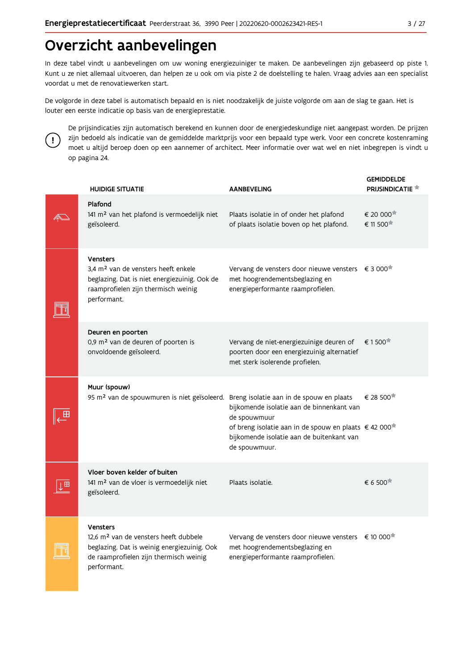## Overzicht aanbevelingen

In deze tabel vindt u aanbevelingen om uw woning energiezuiniger te maken. De aanbevelingen zijn gebaseerd op piste 1. Kunt u ze niet allemaal uitvoeren, dan helpen ze u ook om via piste 2 de doelstelling te halen. Vraag advies aan een specialist voordat u met de renovatiewerken start.

De volgorde in deze tabel is automatisch bepaald en is niet noodzakelijk de juiste volgorde om aan de slag te gaan. Het is louter een eerste indicatie op basis van de energieprestatie.



De prijsindicaties zijn automatisch berekend en kunnen door de energiedeskundige niet aangepast worden. De prijzen zijn bedoeld als indicatie van de gemiddelde marktprijs voor een bepaald type werk. Voor een concrete kostenraming moet u altijd beroep doen op een aannemer of architect. Meer informatie over wat wel en niet inbegrepen is vindt u op pagina 24.

|  | <b>HUIDIGE SITUATIE</b>                                                                                                                                                      | <b>AANBEVELING</b>                                                                                                                                                                           | <b>GEMIDDELDE</b><br><b>PRIJSINDICATIE</b>   |
|--|------------------------------------------------------------------------------------------------------------------------------------------------------------------------------|----------------------------------------------------------------------------------------------------------------------------------------------------------------------------------------------|----------------------------------------------|
|  | Plafond<br>141 m <sup>2</sup> van het plafond is vermoedelijk niet<br>geïsoleerd.                                                                                            | Plaats isolatie in of onder het plafond<br>of plaats isolatie boven op het plafond.                                                                                                          | € 20 000<br>€ 11 500                         |
|  | <b>Vensters</b><br>3.4 m <sup>2</sup> van de vensters heeft enkele<br>beglazing. Dat is niet energiezuinig. Ook de<br>raamprofielen zijn thermisch weinig<br>performant.     | Vervang de vensters door nieuwe vensters € 3 000 <sup>*</sup><br>met hoogrendementsbeglazing en<br>energieperformante raamprofielen.                                                         |                                              |
|  | Deuren en poorten<br>0,9 m <sup>2</sup> van de deuren of poorten is<br>onvoldoende geïsoleerd.                                                                               | Vervang de niet-energiezuinige deuren of<br>poorten door een energiezuinig alternatief<br>met sterk isolerende profielen.                                                                    | € 1500                                       |
|  | Muur (spouw)<br>95 m <sup>2</sup> van de spouwmuren is niet geïsoleerd. Breng isolatie aan in de spouw en plaats                                                             | bijkomende isolatie aan de binnenkant van<br>de spouwmuur<br>of breng isolatie aan in de spouw en plaats € 42 000 <sup>*</sup><br>bijkomende isolatie aan de buitenkant van<br>de spouwmuur. | € 28 500                                     |
|  | Vloer boven kelder of buiten<br>141 m <sup>2</sup> van de vloer is vermoedelijk niet<br>geïsoleerd.                                                                          | Plaats isolatie.                                                                                                                                                                             | $\epsilon$ 6.500 <sup><math>\pi</math></sup> |
|  | <b>Vensters</b><br>12.6 m <sup>2</sup> van de vensters heeft dubbele<br>beglazing. Dat is weinig energiezuinig. Ook<br>de raamprofielen zijn thermisch weinig<br>performant. | Vervang de vensters door nieuwe vensters € 10 000 <sup>*</sup><br>met hoogrendementsbeglazing en<br>energieperformante raamprofielen.                                                        |                                              |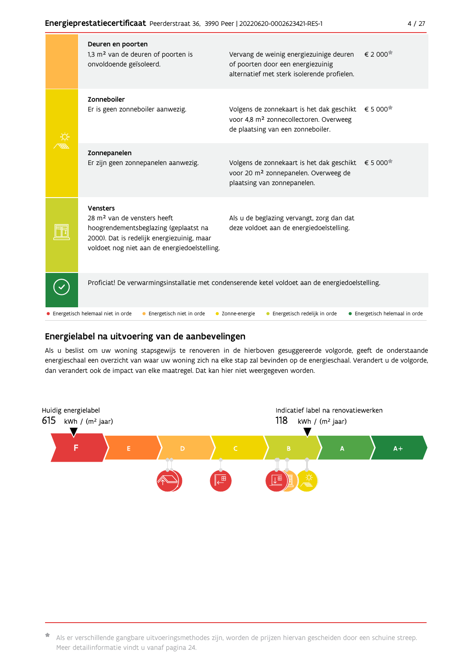| Deuren en poorten<br>1,3 m <sup>2</sup> van de deuren of poorten is<br>onvoldoende geïsoleerd.                                                                                                    | Vervang de weinig energiezuinige deuren<br>of poorten door een energiezuinig<br>alternatief met sterk isolerende profielen.          | $\epsilon$ 2 000 $\overline{a}$   |
|---------------------------------------------------------------------------------------------------------------------------------------------------------------------------------------------------|--------------------------------------------------------------------------------------------------------------------------------------|-----------------------------------|
| Zonneboiler<br>Er is geen zonneboiler aanwezig.                                                                                                                                                   | Volgens de zonnekaart is het dak geschikt<br>voor 4,8 m <sup>2</sup> zonnecollectoren. Overweeg<br>de plaatsing van een zonneboiler. | € 5 000 <sup><math>#</math></sup> |
| Zonnepanelen<br>Er zijn geen zonnepanelen aanwezig.                                                                                                                                               | Volgens de zonnekaart is het dak geschikt<br>voor 20 m <sup>2</sup> zonnepanelen. Overweeg de<br>plaatsing van zonnepanelen.         | € 5 000 <sup><math>#</math></sup> |
| <b>Vensters</b><br>28 m <sup>2</sup> van de vensters heeft<br>hoogrendementsbeglazing (geplaatst na<br>2000). Dat is redelijk energiezuinig, maar<br>voldoet nog niet aan de energiedoelstelling. | Als u de beglazing vervangt, zorg dan dat<br>deze voldoet aan de energiedoelstelling.                                                |                                   |
| Proficiat! De verwarmingsinstallatie met condenserende ketel voldoet aan de energiedoelstelling.                                                                                                  |                                                                                                                                      |                                   |
| • Energetisch helemaal niet in orde<br>• Energetisch niet in orde                                                                                                                                 | Energetisch redelijk in orde<br>• Zonne-energie                                                                                      | • Energetisch helemaal in orde    |

#### Energielabel na uitvoering van de aanbevelingen

Als u beslist om uw woning stapsgewijs te renoveren in de hierboven gesuggereerde volgorde, geeft de onderstaande energieschaal een overzicht van waar uw woning zich na elke stap zal bevinden op de energieschaal. Verandert u de volgorde, dan verandert ook de impact van elke maatregel. Dat kan hier niet weergegeven worden.



\* Als er verschillende gangbare uitvoeringsmethodes zijn, worden de prijzen hiervan gescheiden door een schuine streep. Meer detailinformatie vindt u vanaf pagina 24.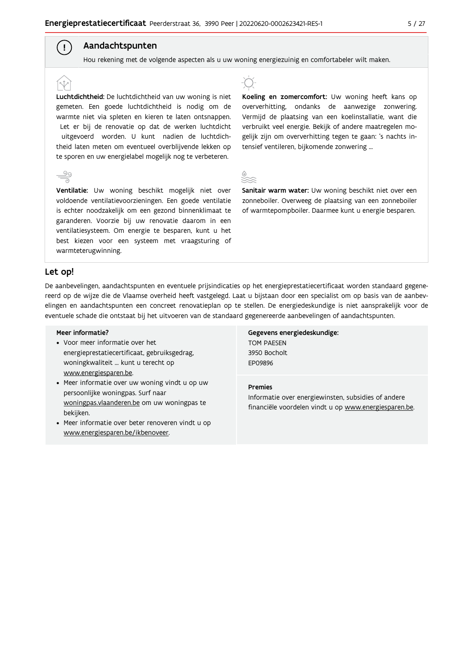#### Aandachtspunten

Hou rekening met de volgende aspecten als u uw woning energiezuinig en comfortabeler wilt maken.

Luchtdichtheid: De luchtdichtheid van uw woning is niet gemeten. Een goede luchtdichtheid is nodig om de warmte niet via spleten en kieren te laten ontsnappen. Let er bij de renovatie op dat de werken luchtdicht uitgevoerd worden. U kunt nadien de luchtdichtheid laten meten om eventueel overblijvende lekken op te sporen en uw energielabel mogelijk nog te verbeteren.



 $\left( \begin{array}{c} 1 \end{array} \right)$ 

Ventilatie: Uw woning beschikt mogelijk niet over voldoende ventilatievoorzieningen. Een goede ventilatie is echter noodzakelijk om een gezond binnenklimaat te garanderen. Voorzie bij uw renovatie daarom in een ventilatiesysteem. Om energie te besparen, kunt u het best kiezen voor een systeem met vraagsturing of warmteterugwinning.



Koeling en zomercomfort: Uw woning heeft kans op oververhitting, ondanks de aanwezige zonwering. Vermijd de plaatsing van een koelinstallatie, want die verbruikt veel energie. Bekijk of andere maatregelen mogelijk zijn om oververhitting tegen te gaan: 's nachts intensief ventileren, bijkomende zonwering ...



Sanitair warm water: Uw woning beschikt niet over een zonneboiler. Overweeg de plaatsing van een zonneboiler of warmtepompboiler. Daarmee kunt u energie besparen.

#### Let op!

De aanbevelingen, aandachtspunten en eventuele prijsindicaties op het energieprestatiecertificaat worden standaard gegenereerd op de wijze die de Vlaamse overheid heeft vastgelegd. Laat u bijstaan door een specialist om op basis van de aanbevelingen en aandachtspunten een concreet renovatieplan op te stellen. De energiedeskundige is niet aansprakelijk voor de eventuele schade die ontstaat bij het uitvoeren van de standaard gegenereerde aanbevelingen of aandachtspunten.

#### Meer informatie?

- Voor meer informatie over het energieprestatiecertificaat, gebruiksgedrag, woningkwaliteit ... kunt u terecht op www.energiesparen.be.
- Meer informatie over uw woning vindt u op uw persoonlijke woningpas. Surf naar woningpas.vlaanderen.be om uw woningpas te bekijken.
- Meer informatie over beter renoveren vindt u op www.energiesparen.be/ikbenoveer.

Gegevens energiedeskundige: TOM PAESEN 3950 Bocholt **FP09896** 

#### **Premies**

Informatie over energiewinsten, subsidies of andere financiële voordelen vindt u op www.energiesparen.be.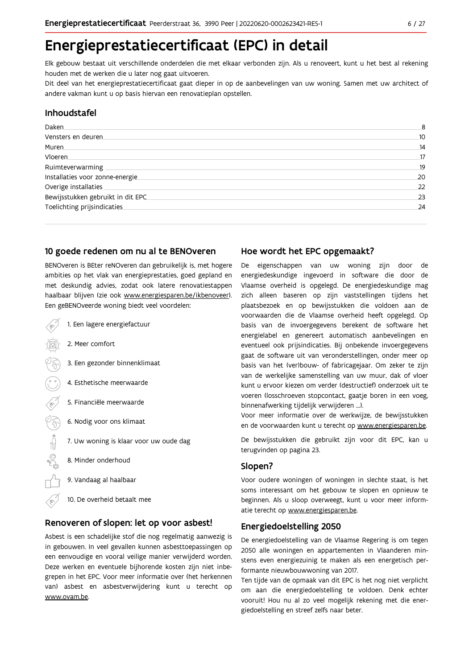## Energieprestatiecertificaat (EPC) in detail

Elk gebouw bestaat uit verschillende onderdelen die met elkaar verbonden zijn. Als u renoveert, kunt u het best al rekening houden met de werken die u later nog gaat uitvoeren.

Dit deel van het energieprestatiecertificaat gaat dieper in op de aanbevelingen van uw woning. Samen met uw architect of andere vakman kunt u op basis hiervan een renovatieplan opstellen.

#### Inhoudstafel

| Daken.                            | 8  |
|-----------------------------------|----|
| Vensters en deuren                | 10 |
| Muren.                            | 14 |
| <b>Vloeren</b>                    | 17 |
| Ruimteverwarming                  | 19 |
| Installaties voor zonne-energie.  | 20 |
| Overige installaties              | 22 |
| Bewijsstukken gebruikt in dit EPC | 23 |
| Toelichting prijsindicaties       | 24 |

#### 10 goede redenen om nu al te BENOveren

BENOveren is BEter reNOveren dan gebruikelijk is, met hogere ambities op het vlak van energieprestaties, goed gepland en met deskundig advies, zodat ook latere renovatiestappen haalbaar blijven (zie ook www.energiesparen.be/ikbenoveer). Een geBENOveerde woning biedt veel voordelen:

- 1. Een lagere energiefactuur 2. Meer comfort 3. Een gezonder binnenklimaat 4. Esthetische meerwaarde 5. Financiële meerwaarde  $\sqrt{3}$ 6. Nodig voor ons klimaat  $\begin{picture}(150,10) \put(0,0){\line(1,0){10}} \put(15,0){\line(1,0){10}} \put(15,0){\line(1,0){10}} \put(15,0){\line(1,0){10}} \put(15,0){\line(1,0){10}} \put(15,0){\line(1,0){10}} \put(15,0){\line(1,0){10}} \put(15,0){\line(1,0){10}} \put(15,0){\line(1,0){10}} \put(15,0){\line(1,0){10}} \put(15,0){\line(1,0){10}} \put(15,0){\line($ 7. Uw woning is klaar voor uw oude dag 8. Minder onderhoud 9. Vandaag al haalbaar
	- 10. De overheid betaalt mee

#### Renoveren of slopen: let op voor asbest!

Asbest is een schadelijke stof die nog regelmatig aanwezig is in gebouwen. In veel gevallen kunnen asbesttoepassingen op een eenvoudige en vooral veilige manier verwijderd worden. Deze werken en eventuele bijhorende kosten zijn niet inbegrepen in het EPC. Voor meer informatie over (het herkennen van) asbest en asbestverwijdering kunt u terecht op www.ovam.be.

#### Hoe wordt het EPC opgemaakt?

De eigenschappen van uw woning zijn door de energiedeskundige ingevoerd in software die door de Vlaamse overheid is opgelegd. De energiedeskundige mag zich alleen baseren op zijn vaststellingen tijdens het plaatsbezoek en op bewijsstukken die voldoen aan de voorwaarden die de Vlaamse overheid heeft opgelegd. Op basis van de invoergegevens berekent de software het energielabel en genereert automatisch aanbevelingen en eventueel ook prijsindicaties. Bij onbekende invoergegevens gaat de software uit van veronderstellingen, onder meer op basis van het (ver)bouw- of fabricagejaar. Om zeker te zijn van de werkelijke samenstelling van uw muur, dak of vloer kunt u ervoor kiezen om verder (destructief) onderzoek uit te voeren (losschroeven stopcontact, gaatje boren in een voeg, binnenafwerking tijdelijk verwijderen ...).

Voor meer informatie over de werkwijze, de bewijsstukken en de voorwaarden kunt u terecht op www.energiesparen.be.

De bewijsstukken die gebruikt zijn voor dit EPC, kan u terugvinden op pagina 23.

#### Slopen?

Voor oudere woningen of woningen in slechte staat, is het soms interessant om het gebouw te slopen en opnieuw te beginnen. Als u sloop overweegt, kunt u voor meer informatie terecht op www.energiesparen.be.

#### **Energiedoelstelling 2050**

De energiedoelstelling van de Vlaamse Regering is om tegen 2050 alle woningen en appartementen in Vlaanderen minstens even energiezuinig te maken als een energetisch performante nieuwbouwwoning van 2017.

Ten tijde van de opmaak van dit EPC is het nog niet verplicht om aan die energiedoelstelling te voldoen. Denk echter vooruit! Hou nu al zo veel mogelijk rekening met die energiedoelstelling en streef zelfs naar beter.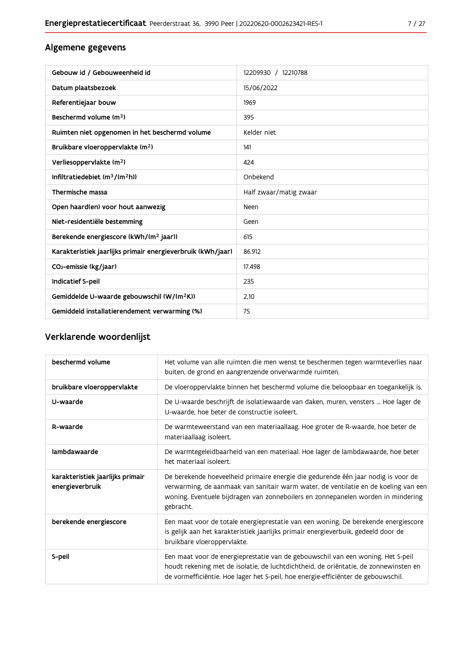### Algemene gegevens

| Gebouw id / Gebouweenheid id                                | 12209930 / 12210788    |
|-------------------------------------------------------------|------------------------|
| Datum plaatsbezoek                                          | 15/06/2022             |
| Referentiejaar bouw                                         | 1969                   |
| Beschermd volume (m <sup>3</sup> )                          | 395                    |
| Ruimten niet opgenomen in het beschermd volume              | Kelder niet            |
| Bruikbare vloeroppervlakte (m <sup>2</sup> )                | 141                    |
| Verliesoppervlakte (m <sup>2</sup> )                        | 424                    |
| Infiltratiedebiet $(m^3/(m^2h))$                            | Onbekend               |
| Thermische massa                                            | Half zwaar/matig zwaar |
| Open haard(en) voor hout aanwezig                           | Neen                   |
| Niet-residentiële bestemming                                | Geen                   |
| Berekende energiescore (kWh/(m <sup>2</sup> jaar))          | 615                    |
| Karakteristiek jaarlijks primair energieverbruik (kWh/jaar) | 86.912                 |
| CO2-emissie (kg/jaar)                                       | 17.498                 |
| Indicatief S-peil                                           | 235                    |
| Gemiddelde U-waarde gebouwschil (W/(m <sup>2</sup> K))      | 2.10                   |
| Gemiddeld installatierendement verwarming (%)               | 75                     |

### Verklarende woordenlijst

| beschermd volume                                    | Het volume van alle ruimten die men wenst te beschermen tegen warmteverlies naar<br>buiten, de grond en aangrenzende onverwarmde ruimten.                                                                                                                                 |
|-----------------------------------------------------|---------------------------------------------------------------------------------------------------------------------------------------------------------------------------------------------------------------------------------------------------------------------------|
| bruikbare vloeroppervlakte                          | De vloeroppervlakte binnen het beschermd volume die beloopbaar en toegankelijk is.                                                                                                                                                                                        |
| U-waarde                                            | De U-waarde beschrijft de isolatiewaarde van daken, muren, vensters  Hoe lager de<br>U-waarde, hoe beter de constructie isoleert.                                                                                                                                         |
| R-waarde                                            | De warmteweerstand van een materiaallaag. Hoe groter de R-waarde, hoe beter de<br>materiaallaag isoleert.                                                                                                                                                                 |
| lambdawaarde                                        | De warmtegeleidbaarheid van een materiaal. Hoe lager de lambdawaarde, hoe beter<br>het materiaal isoleert.                                                                                                                                                                |
| karakteristiek jaarlijks primair<br>energieverbruik | De berekende hoeveelheid primaire energie die gedurende één jaar nodig is voor de<br>verwarming, de aanmaak van sanitair warm water, de ventilatie en de koeling van een<br>woning. Eventuele bijdragen van zonneboilers en zonnepanelen worden in mindering<br>gebracht. |
| berekende energiescore                              | Een maat voor de totale energieprestatie van een woning. De berekende energiescore<br>is gelijk aan het karakteristiek jaarlijks primair energieverbuik, gedeeld door de<br>bruikbare vloeroppervlakte.                                                                   |
| S-peil                                              | Een maat voor de energieprestatie van de gebouwschil van een woning. Het S-peil<br>houdt rekening met de isolatie, de luchtdichtheid, de oriëntatie, de zonnewinsten en<br>de vormefficiëntie. Hoe lager het S-peil, hoe energie-efficiënter de gebouwschil.              |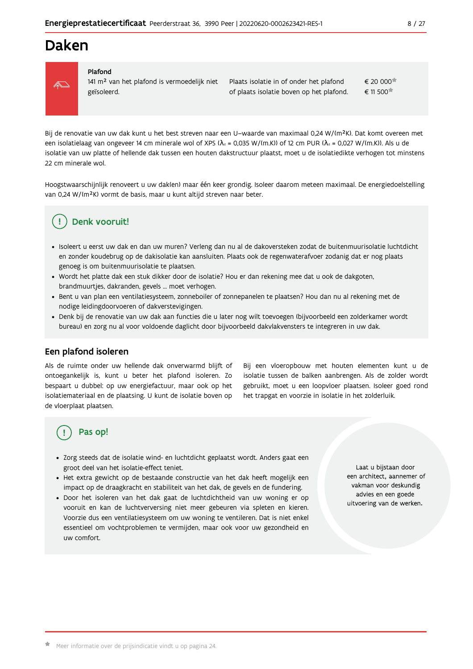### Daken



#### Plafond

141 m<sup>2</sup> van het plafond is vermoedelijk niet geïsoleerd.

€ 20 000 Plaats isolatie in of onder het plafond of plaats isolatie boven op het plafond. € 11 500

Bij de renovatie van uw dak kunt u het best streven naar een U-waarde van maximaal 0,24 W/(m<sup>2</sup>K). Dat komt overeen met een isolatielaag van ongeveer 14 cm minerale wol of XPS ( $\lambda_a$  = 0,035 W/(m.K)) of 12 cm PUR ( $\lambda_a$  = 0,027 W/(m.K)). Als u de isolatie van uw platte of hellende dak tussen een houten dakstructuur plaatst, moet u de isolatiedikte verhogen tot minstens 22 cm minerale wol.

Hoogstwaarschijnlijk renoveert u uw dak(en) maar één keer grondig. Isoleer daarom meteen maximaal. De energiedoelstelling van 0,24 W/(m<sup>2</sup>K) vormt de basis, maar u kunt altijd streven naar beter.

#### Denk vooruit! J.

- · Isoleert u eerst uw dak en dan uw muren? Verleng dan nu al de dakoversteken zodat de buitenmuurisolatie luchtdicht en zonder koudebrug op de dakisolatie kan aansluiten. Plaats ook de regenwaterafvoer zodanig dat er nog plaats genoeg is om buitenmuurisolatie te plaatsen.
- · Wordt het platte dak een stuk dikker door de isolatie? Hou er dan rekening mee dat u ook de dakgoten, brandmuurtjes, dakranden, gevels ... moet verhogen.
- Bent u van plan een ventilatiesysteem, zonneboiler of zonnepanelen te plaatsen? Hou dan nu al rekening met de nodige leidingdoorvoeren of dakverstevigingen.
- · Denk bij de renovatie van uw dak aan functies die u later nog wilt toevoegen (bijvoorbeeld een zolderkamer wordt bureau) en zorg nu al voor voldoende daglicht door bijvoorbeeld dakvlakvensters te integreren in uw dak.

#### Een plafond isoleren

Als de ruimte onder uw hellende dak onverwarmd blijft of ontoegankelijk is, kunt u beter het plafond isoleren. Zo bespaart u dubbel: op uw energiefactuur, maar ook op het isolatiemateriaal en de plaatsing. U kunt de isolatie boven op de vloerplaat plaatsen.

Bij een vloeropbouw met houten elementen kunt u de isolatie tussen de balken aanbrengen. Als de zolder wordt gebruikt, moet u een loopvloer plaatsen. Isoleer goed rond het trapgat en voorzie in isolatie in het zolderluik.

### Pas op!

- · Zorg steeds dat de isolatie wind- en luchtdicht geplaatst wordt. Anders gaat een groot deel van het isolatie-effect teniet.
- · Het extra gewicht op de bestaande constructie van het dak heeft mogelijk een impact op de draagkracht en stabiliteit van het dak, de gevels en de fundering.
- · Door het isoleren van het dak gaat de luchtdichtheid van uw woning er op vooruit en kan de luchtverversing niet meer gebeuren via spleten en kieren. Voorzie dus een ventilatiesysteem om uw woning te ventileren. Dat is niet enkel essentieel om vochtproblemen te vermijden, maar ook voor uw gezondheid en uw comfort.

Laat u bijstaan door een architect, aannemer of vakman voor deskundig advies en een goede uitvoering van de werken.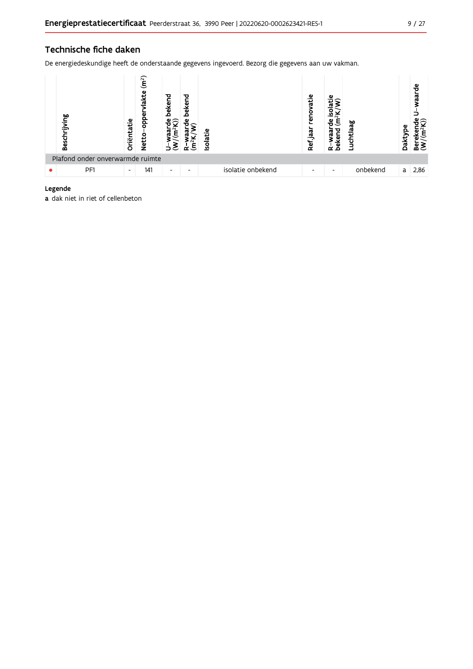#### Technische fiche daken

De energiedeskundige heeft de onderstaande gegevens ingevoerd. Bezorg die gegevens aan uw vakman.



#### Legende

a dak niet in riet of cellenbeton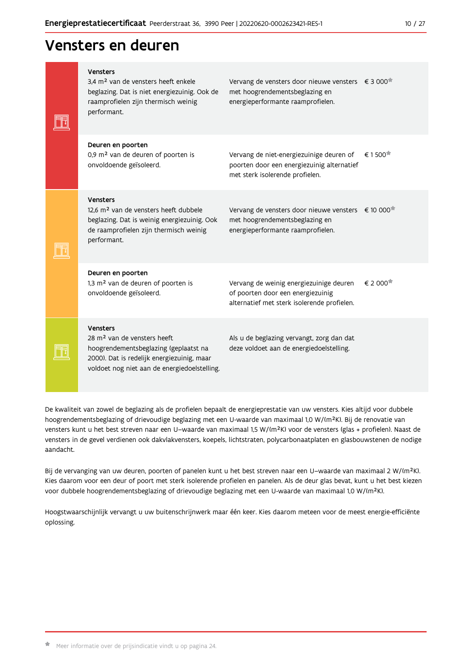### Vensters en deuren

| <b>Vensters</b><br>3.4 m <sup>2</sup> van de vensters heeft enkele<br>beglazing. Dat is niet energiezuinig. Ook de<br>raamprofielen zijn thermisch weinig<br>performant.                          | Vervang de vensters door nieuwe vensters $\epsilon$ 3 000 <sup>*</sup><br>met hoogrendementsbeglazing en<br>energieperformante raamprofielen. |                                                |
|---------------------------------------------------------------------------------------------------------------------------------------------------------------------------------------------------|-----------------------------------------------------------------------------------------------------------------------------------------------|------------------------------------------------|
| Deuren en poorten<br>0,9 m <sup>2</sup> van de deuren of poorten is<br>onvoldoende geïsoleerd.                                                                                                    | Vervang de niet-energiezuinige deuren of<br>poorten door een energiezuinig alternatief<br>met sterk isolerende profielen.                     | € 1500                                         |
| <b>Vensters</b><br>12,6 m <sup>2</sup> van de vensters heeft dubbele<br>beglazing. Dat is weinig energiezuinig. Ook<br>de raamprofielen zijn thermisch weinig<br>performant.                      | Vervang de vensters door nieuwe vensters € 10 000 <sup>*</sup><br>met hoogrendementsbeglazing en<br>energieperformante raamprofielen.         |                                                |
| Deuren en poorten<br>1,3 m <sup>2</sup> van de deuren of poorten is<br>onvoldoende geïsoleerd.                                                                                                    | Vervang de weinig energiezuinige deuren<br>of poorten door een energiezuinig<br>alternatief met sterk isolerende profielen.                   | $\epsilon$ 2 000 <sup><math>\star</math></sup> |
| <b>Vensters</b><br>28 m <sup>2</sup> van de vensters heeft<br>hoogrendementsbeglazing (geplaatst na<br>2000). Dat is redelijk energiezuinig, maar<br>voldoet nog niet aan de energiedoelstelling. | Als u de beglazing vervangt, zorg dan dat<br>deze voldoet aan de energiedoelstelling.                                                         |                                                |

De kwaliteit van zowel de beglazing als de profielen bepaalt de energieprestatie van uw vensters. Kies altijd voor dubbele hoogrendementsbeglazing of drievoudige beglazing met een U-waarde van maximaal 1,0 W/(m<sup>2</sup>K). Bij de renovatie van vensters kunt u het best streven naar een U-waarde van maximaal 1,5 W/(m<sup>2</sup>K) voor de vensters (glas + profielen). Naast de vensters in de gevel verdienen ook dakvlakvensters, koepels, lichtstraten, polycarbonaatplaten en glasbouwstenen de nodige aandacht.

Bij de vervanging van uw deuren, poorten of panelen kunt u het best streven naar een U-waarde van maximaal 2 W/(m<sup>2</sup>K). Kies daarom voor een deur of poort met sterk isolerende profielen en panelen. Als de deur glas bevat, kunt u het best kiezen voor dubbele hoogrendementsbeglazing of drievoudige beglazing met een U-waarde van maximaal 1,0 W/(m<sup>2</sup>K).

Hoogstwaarschijnlijk vervangt u uw buitenschrijnwerk maar één keer. Kies daarom meteen voor de meest energie-efficiënte oplossing.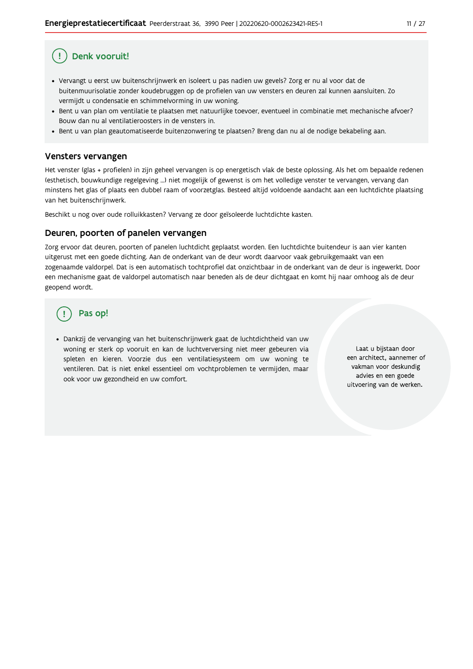## Denk vooruit!

- · Vervangt u eerst uw buitenschrijnwerk en isoleert u pas nadien uw gevels? Zorg er nu al voor dat de buitenmuurisolatie zonder koudebruggen op de profielen van uw vensters en deuren zal kunnen aansluiten. Zo vermijdt u condensatie en schimmelvorming in uw woning.
- Bent u van plan om ventilatie te plaatsen met natuurlijke toevoer, eventueel in combinatie met mechanische afvoer? Bouw dan nu al ventilatieroosters in de vensters in.
- · Bent u van plan geautomatiseerde buitenzonwering te plaatsen? Breng dan nu al de nodige bekabeling aan.

#### Vensters vervangen

Het venster (glas + profielen) in zijn geheel vervangen is op energetisch vlak de beste oplossing. Als het om bepaalde redenen (esthetisch, bouwkundige regelgeving ...) niet mogelijk of gewenst is om het volledige venster te vervangen, vervang dan minstens het glas of plaats een dubbel raam of voorzetglas. Besteed altijd voldoende aandacht aan een luchtdichte plaatsing van het buitenschrijnwerk.

Beschikt u nog over oude rolluikkasten? Vervang ze door geïsoleerde luchtdichte kasten.

#### Deuren, poorten of panelen vervangen

Zorg ervoor dat deuren, poorten of panelen luchtdicht geplaatst worden. Een luchtdichte buitendeur is aan vier kanten uitgerust met een goede dichting. Aan de onderkant van de deur wordt daarvoor vaak gebruikgemaakt van een zogenaamde valdorpel. Dat is een automatisch tochtprofiel dat onzichtbaar in de onderkant van de deur is ingewerkt. Door een mechanisme gaat de valdorpel automatisch naar beneden als de deur dichtgaat en komt hij naar omhoog als de deur geopend wordt.

### Pas op!

· Dankzij de vervanging van het buitenschrijnwerk gaat de luchtdichtheid van uw woning er sterk op vooruit en kan de luchtverversing niet meer gebeuren via spleten en kieren. Voorzie dus een ventilatiesysteem om uw woning te ventileren. Dat is niet enkel essentieel om vochtproblemen te vermijden, maar ook voor uw gezondheid en uw comfort.

Laat u bijstaan door een architect, aannemer of vakman voor deskundig advies en een goede uitvoering van de werken.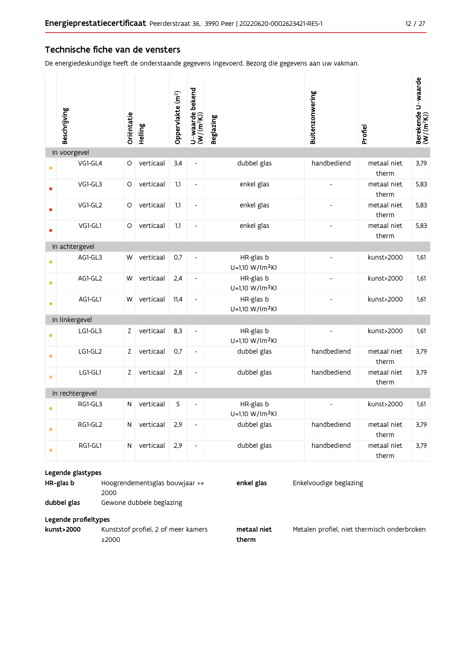#### Technische fiche van de vensters

De energiedeskundige heeft de onderstaande gegevens ingevoerd. Bezorg die gegevens aan uw vakman.

|           | Beschrijving                                                                                                                                                                        | Oriëntatie   | Helling   | Oppervlakte (m <sup>2</sup> ) | U-waarde bekend<br>(W/(m <sup>2</sup> K)) | <b>Beglazing</b>                         | Buitenzonwering | Profiel              | Berekende U-waarde<br>(W/(m <sup>2</sup> K)) |  |
|-----------|-------------------------------------------------------------------------------------------------------------------------------------------------------------------------------------|--------------|-----------|-------------------------------|-------------------------------------------|------------------------------------------|-----------------|----------------------|----------------------------------------------|--|
|           | In voorgevel                                                                                                                                                                        |              |           |                               |                                           |                                          |                 |                      |                                              |  |
|           | VG1-GL4                                                                                                                                                                             | O            | verticaal | 3,4                           | $\qquad \qquad \blacksquare$              | dubbel glas                              | handbediend     | metaal niet<br>therm | 3,79                                         |  |
|           | VG1-GL3                                                                                                                                                                             | O            | verticaal | 1,1                           | $\qquad \qquad \blacksquare$              | enkel glas                               |                 | metaal niet<br>therm | 5,83                                         |  |
|           | VG1-GL2                                                                                                                                                                             | O            | verticaal | 1,1                           | $\qquad \qquad \blacksquare$              | enkel glas                               |                 | metaal niet<br>therm | 5,83                                         |  |
|           | VG1-GL1                                                                                                                                                                             | O            | verticaal | 1,1                           | $\qquad \qquad \blacksquare$              | enkel glas                               |                 | metaal niet<br>therm | 5,83                                         |  |
|           | In achtergevel                                                                                                                                                                      |              |           |                               |                                           |                                          |                 |                      |                                              |  |
|           | AG1-GL3                                                                                                                                                                             | W            | verticaal | 0,7                           | $\qquad \qquad \blacksquare$              | HR-glas b<br>U=1,10 W/(m <sup>2</sup> K) |                 | kunst>2000           | 1,61                                         |  |
| 0         | AG1-GL2                                                                                                                                                                             | W            | verticaal | 2,4                           | $\qquad \qquad \blacksquare$              | HR-glas b<br>U=1,10 W/(m <sup>2</sup> K) |                 | kunst>2000           | 1,61                                         |  |
| $\bullet$ | AG1-GL1                                                                                                                                                                             | W            | verticaal | 11,4                          | $\qquad \qquad \blacksquare$              | HR-glas b<br>U=1,10 W/(m <sup>2</sup> K) |                 | kunst>2000           | 1,61                                         |  |
|           | In linkergevel                                                                                                                                                                      |              |           |                               |                                           |                                          |                 |                      |                                              |  |
|           | LG1-GL3                                                                                                                                                                             | Z            | verticaal | 8,3                           | $\qquad \qquad \blacksquare$              | HR-glas b<br>U=1,10 W/(m <sup>2</sup> K) |                 | kunst>2000           | 1,61                                         |  |
| ۰         | LG1-GL2                                                                                                                                                                             | Z            | verticaal | 0,7                           | $\blacksquare$                            | dubbel glas                              | handbediend     | metaal niet<br>therm | 3,79                                         |  |
| $\bullet$ | LG1-GL1                                                                                                                                                                             | Z            | verticaal | 2,8                           | $\overline{\phantom{m}}$                  | dubbel glas                              | handbediend     | metaal niet<br>therm | 3,79                                         |  |
|           | In rechtergevel                                                                                                                                                                     |              |           |                               |                                           |                                          |                 |                      |                                              |  |
|           | RG1-GL3                                                                                                                                                                             | N            | verticaal | 5                             | L,                                        | HR-glas b<br>U=1,10 W/(m <sup>2</sup> K) |                 | kunst>2000           | 1,61                                         |  |
|           | RG1-GL2                                                                                                                                                                             | $\mathsf{N}$ | verticaal | 2,9                           | $\overline{a}$                            | dubbel glas                              | handbediend     | metaal niet<br>therm | 3,79                                         |  |
| ۰         | RG1-GL1                                                                                                                                                                             | N            | verticaal | 2,9                           | $\overline{\phantom{a}}$                  | dubbel glas                              | handbediend     | metaal niet<br>therm | 3,79                                         |  |
|           | Legende glastypes<br>HR-glas b<br>enkel glas<br>Enkelvoudige beglazing<br>Hoogrendementsglas bouwjaar >=<br>2000<br>dubbel glas<br>Gewone dubbele beglazing<br>Legende profieltypes |              |           |                               |                                           |                                          |                 |                      |                                              |  |

Kunststof profiel, 2 of meer kamers kunst>2000  $\geq$  2000

metaal niet therm

Metalen profiel, niet thermisch onderbroken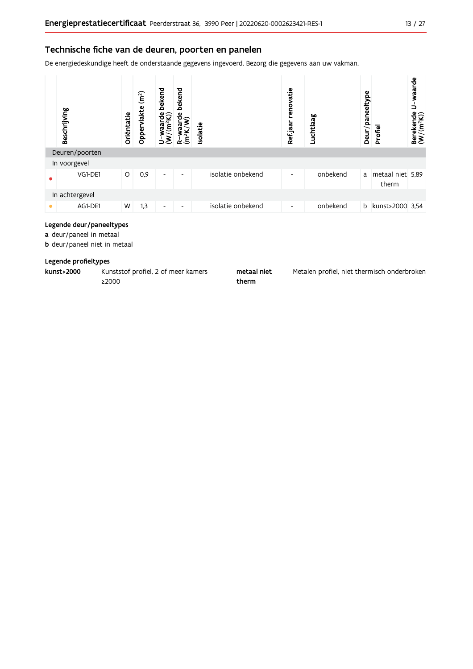#### Technische fiche van de deuren, poorten en panelen

De energiedeskundige heeft de onderstaande gegevens ingevoerd. Bezorg die gegevens aan uw vakman.



#### Legende deur/paneeltypes

a deur/paneel in metaal

**b** deur/paneel niet in metaal

#### Legende profieltypes

| kunst>2000 | Kunststof profiel, 2 of meer kamers | metaal niet | Metalen profiel, niet thermisch onderbroken |
|------------|-------------------------------------|-------------|---------------------------------------------|
|            | 2000∠                               | therm       |                                             |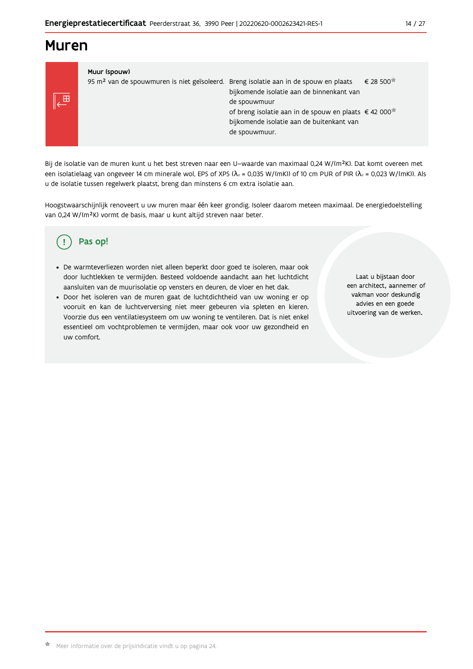### **Muren**

儿⊞

#### Muur (spouw)

| 95 m <sup>2</sup> van de spouwmuren is niet geïsoleerd. Breng isolatie aan in de spouw en plaats | bijkomende isolatie aan de binnenkant van<br>de spouwmuur                                                         | € 28 500 |
|--------------------------------------------------------------------------------------------------|-------------------------------------------------------------------------------------------------------------------|----------|
|                                                                                                  | of breng isolatie aan in de spouw en plaats €42 000<br>bijkomende isolatie aan de buitenkant van<br>de spouwmuur. |          |

Bij de isolatie van de muren kunt u het best streven naar een U-waarde van maximaal 0,24 W/(m<sup>2</sup>K). Dat komt overeen met een isolatielaag van ongeveer 14 cm minerale wol, EPS of XPS ( $\lambda_a$  = 0,035 W/(mK)) of 10 cm PUR of PIR ( $\lambda_a$  = 0,023 W/(mK)). Als u de isolatie tussen regelwerk plaatst, breng dan minstens 6 cm extra isolatie aan.

Hoogstwaarschijnlijk renoveert u uw muren maar één keer grondig. Isoleer daarom meteen maximaal. De energiedoelstelling van 0,24 W/(m<sup>2</sup>K) vormt de basis, maar u kunt altijd streven naar beter.

#### Pas op! ( !

- · De warmteverliezen worden niet alleen beperkt door goed te isoleren, maar ook door luchtlekken te vermijden. Besteed voldoende aandacht aan het luchtdicht aansluiten van de muurisolatie op vensters en deuren, de vloer en het dak.
- · Door het isoleren van de muren gaat de luchtdichtheid van uw woning er op vooruit en kan de luchtverversing niet meer gebeuren via spleten en kieren. Voorzie dus een ventilatiesysteem om uw woning te ventileren. Dat is niet enkel essentieel om vochtproblemen te vermijden, maar ook voor uw gezondheid en uw comfort.

Laat u bijstaan door een architect, aannemer of vakman voor deskundig advies en een goede uitvoering van de werken.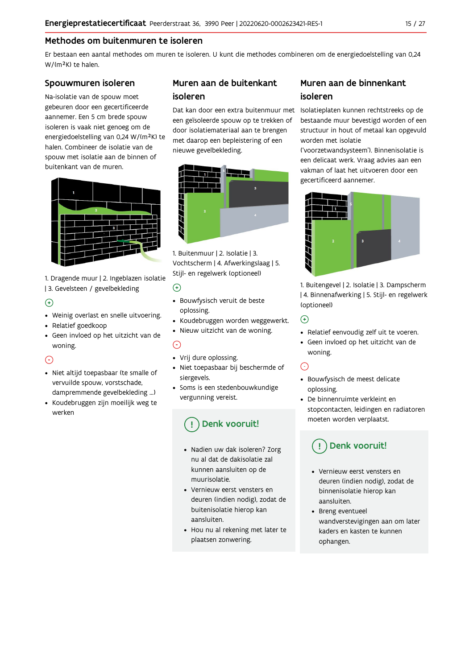#### Methodes om buitenmuren te isoleren

Er bestaan een aantal methodes om muren te isoleren. U kunt die methodes combineren om de energiedoelstelling van 0,24 W/(m<sup>2</sup>K) te halen.

#### Spouwmuren isoleren

Na-isolatie van de spouw moet gebeuren door een gecertificeerde aannemer. Een 5 cm brede spouw isoleren is vaak niet genoeg om de energiedoelstelling van 0,24 W/(m<sup>2</sup>K) te halen. Combineer de isolatie van de spouw met isolatie aan de binnen of buitenkant van de muren.



1. Dragende muur | 2. Ingeblazen isolatie | 3. Gevelsteen / gevelbekleding

#### $\bigoplus$

- Weinig overlast en snelle uitvoering.
- Relatief goedkoop
- · Geen invloed op het uitzicht van de woning.

#### $\odot$

- · Niet altijd toepasbaar (te smalle of vervuilde spouw, vorstschade, dampremmende gevelbekleding ...)
- Koudebruggen zijn moeilijk weg te werken

### Muren aan de buitenkant isoleren

een geïsoleerde spouw op te trekken of door isolatiemateriaal aan te brengen met daarop een bepleistering of een nieuwe gevelbekleding.



1. Buitenmuur | 2. Isolatie | 3. Vochtscherm | 4. Afwerkingslaag | 5. Stijl- en regelwerk (optioneel)

#### $\odot$

- · Bouwfysisch veruit de beste oplossing.
- · Koudebruggen worden weggewerkt.
- · Nieuw uitzicht van de woning.

#### $\odot$

- Vrij dure oplossing.
- · Niet toepasbaar bij beschermde of siergevels.
- Soms is een stedenbouwkundige vergunning vereist.

### Denk vooruit!

- · Nadien uw dak isoleren? Zorg nu al dat de dakisolatie zal kunnen aansluiten op de muurisolatie
- Vernieuw eerst vensters en deuren (indien nodig), zodat de buitenisolatie hierop kan aansluiten.
- Hou nu al rekening met later te plaatsen zonwering.

### Muren aan de binnenkant isoleren

Dat kan door een extra buitenmuur met Isolatieplaten kunnen rechtstreeks op de bestaande muur bevestigd worden of een structuur in hout of metaal kan opgevuld worden met isolatie

('voorzetwandsysteem'). Binnenisolatie is een delicaat werk. Vraag advies aan een vakman of laat het uitvoeren door een gecertificeerd aannemer.



1. Buitengevel | 2. Isolatie | 3. Dampscherm | 4. Binnenafwerking | 5. Stijl- en regelwerk (optioneel)

#### $\bigodot$

- Relatief eenvoudig zelf uit te voeren.
- · Geen invloed op het uitzicht van de woning.

### $\odot$

- · Bouwfysisch de meest delicate oplossing.
- De binnenruimte verkleint en stopcontacten, leidingen en radiatoren moeten worden verplaatst.

### Denk vooruit!

- Vernieuw eerst vensters en deuren (indien nodig), zodat de binnenisolatie hierop kan aansluiten.
- Breng eventueel wandverstevigingen aan om later kaders en kasten te kunnen ophangen.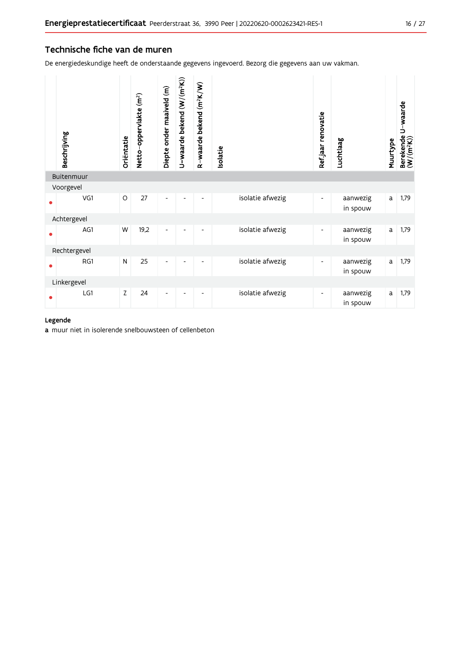#### Technische fiche van de muren

De energiedeskundige heeft de onderstaande gegevens ingevoerd. Bezorg die gegevens aan uw vakman.

| Beschrijving | Oriëntatie | Netto-oppervlakte (m <sup>2</sup> ) | Diepte onder maaiveld (m) | U-waarde bekend (W/(m <sup>2</sup> K)) | R-waarde bekend (m <sup>2</sup> K/W) | Isolatie |                  | Ref.jaar renovatie       | Luchtlaag            | Muurtype | Berekende U-waarde<br>(W/(m <sup>2</sup> K)) |
|--------------|------------|-------------------------------------|---------------------------|----------------------------------------|--------------------------------------|----------|------------------|--------------------------|----------------------|----------|----------------------------------------------|
| Buitenmuur   |            |                                     |                           |                                        |                                      |          |                  |                          |                      |          |                                              |
| Voorgevel    |            |                                     |                           |                                        |                                      |          |                  |                          |                      |          |                                              |
| VG1          | $\circ$    | 27                                  | $\overline{a}$            |                                        |                                      |          | isolatie afwezig | $\overline{\phantom{0}}$ | aanwezig<br>in spouw | a        | 1,79                                         |
| Achtergevel  |            |                                     |                           |                                        |                                      |          |                  |                          |                      |          |                                              |
| AG1          | W          | 19,2                                | $\overline{a}$            |                                        |                                      |          | isolatie afwezig | ۰                        | aanwezig<br>in spouw | a        | 1,79                                         |
| Rechtergevel |            |                                     |                           |                                        |                                      |          |                  |                          |                      |          |                                              |
| RG1          | N          | 25                                  | Ĭ.                        |                                        |                                      |          | isolatie afwezig |                          | aanwezig<br>in spouw | a        | 1,79                                         |
| Linkergevel  |            |                                     |                           |                                        |                                      |          |                  |                          |                      |          |                                              |
| LG1          | Z          | 24                                  |                           |                                        |                                      |          | isolatie afwezig |                          | aanwezig<br>in spouw | a        | 1,79                                         |

#### Legende

a muur niet in isolerende snelbouwsteen of cellenbeton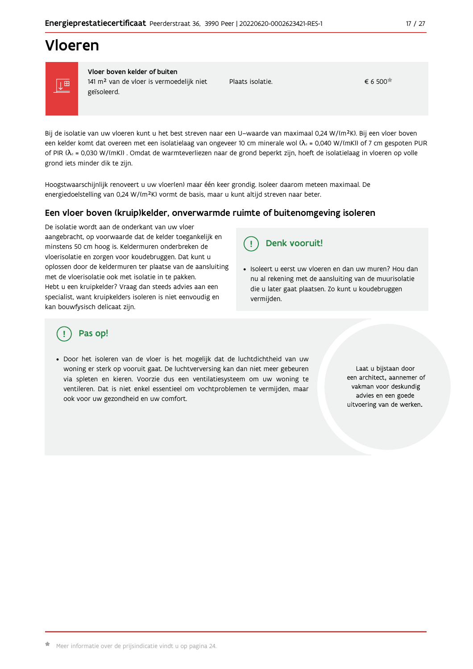## Vloeren



Vloer boven kelder of buiten 141 m<sup>2</sup> van de vloer is vermoedelijk niet geïsoleerd.

Plaats isolatie.

 $\epsilon$  6.500<sup> $\pm$ </sup>

Bij de isolatie van uw vloeren kunt u het best streven naar een U-waarde van maximaal 0,24 W/(m<sup>2</sup>K). Bij een vloer boven een kelder komt dat overeen met een isolatielaag van ongeveer 10 cm minerale wol ( $\lambda_d$  = 0,040 W/(mK)) of 7 cm gespoten PUR of PIR ( $\lambda_4$  = 0,030 W/(mK)). Omdat de warmteverliezen naar de grond beperkt zijn, hoeft de isolatielaag in vloeren op volle grond iets minder dik te zijn.

Hoogstwaarschijnlijk renoveert u uw vloer(en) maar één keer grondig. Isoleer daarom meteen maximaal. De energiedoelstelling van 0,24 W/(m<sup>2</sup>K) vormt de basis, maar u kunt altijd streven naar beter.

#### Een vloer boven (kruip)kelder, onverwarmde ruimte of buitenomgeving isoleren

De isolatie wordt aan de onderkant van uw vloer aangebracht, op voorwaarde dat de kelder toegankelijk en minstens 50 cm hoog is. Keldermuren onderbreken de vloerisolatie en zorgen voor koudebruggen. Dat kunt u oplossen door de keldermuren ter plaatse van de aansluiting met de vloerisolatie ook met isolatie in te pakken. Hebt u een kruipkelder? Vraag dan steeds advies aan een specialist, want kruipkelders isoleren is niet eenvoudig en kan bouwfysisch delicaat zijn.

Denk vooruit! Ţ

· Isoleert u eerst uw vloeren en dan uw muren? Hou dan nu al rekening met de aansluiting van de muurisolatie die u later gaat plaatsen. Zo kunt u koudebruggen vermijden.

### Pas op!

· Door het isoleren van de vloer is het mogelijk dat de luchtdichtheid van uw woning er sterk op vooruit gaat. De luchtverversing kan dan niet meer gebeuren via spleten en kieren. Voorzie dus een ventilatiesysteem om uw woning te ventileren. Dat is niet enkel essentieel om vochtproblemen te vermijden, maar ook voor uw gezondheid en uw comfort.

Laat u bijstaan door een architect, aannemer of vakman voor deskundig advies en een goede uitvoering van de werken.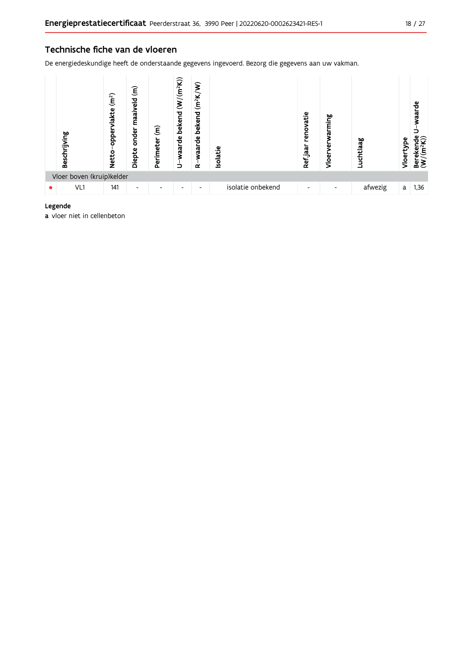#### Technische fiche van de vloeren

De energiedeskundige heeft de onderstaande gegevens ingevoerd. Bezorg die gegevens aan uw vakman.



#### Legende

a vloer niet in cellenbeton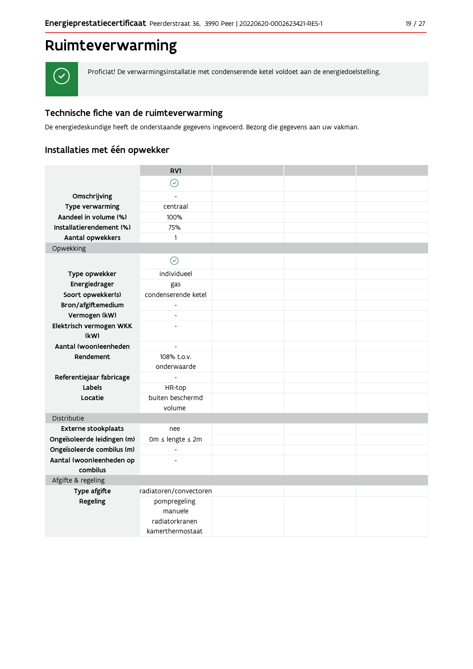## Ruimteverwarming



Proficiat! De verwarmingsinstallatie met condenserende ketel voldoet aan de energiedoelstelling.

#### Technische fiche van de ruimteverwarming

De energiedeskundige heeft de onderstaande gegevens ingevoerd. Bezorg die gegevens aan uw vakman.

### Installaties met één opwekker

|                             | RV1                                                           |  |  |
|-----------------------------|---------------------------------------------------------------|--|--|
|                             | $\odot$                                                       |  |  |
| Omschrijving                |                                                               |  |  |
| Type verwarming             | centraal                                                      |  |  |
| Aandeel in volume (%)       | 100%                                                          |  |  |
| Installatierendement (%)    | 75%                                                           |  |  |
| Aantal opwekkers            | $\mathbf{1}$                                                  |  |  |
| Opwekking                   |                                                               |  |  |
|                             | $\odot$                                                       |  |  |
| Type opwekker               | individueel                                                   |  |  |
| Energiedrager               | gas                                                           |  |  |
| Soort opwekker(s)           | condenserende ketel                                           |  |  |
| Bron/afgiftemedium          | $\blacksquare$                                                |  |  |
| Vermogen (kW)               | $\overline{a}$                                                |  |  |
| Elektrisch vermogen WKK     | $\overline{a}$                                                |  |  |
| (kW)                        |                                                               |  |  |
| Aantal (woon)eenheden       | $\overline{\phantom{a}}$                                      |  |  |
| Rendement                   | 108% t.o.v.<br>onderwaarde                                    |  |  |
| Referentiejaar fabricage    | $\overline{\phantom{a}}$                                      |  |  |
| Labels                      | HR-top                                                        |  |  |
| Locatie                     | buiten beschermd                                              |  |  |
|                             | volume                                                        |  |  |
| Distributie                 |                                                               |  |  |
| <b>Externe stookplaats</b>  | nee                                                           |  |  |
| Ongeïsoleerde leidingen (m) | Om $\leq$ lengte $\leq$ 2m                                    |  |  |
| Ongeïsoleerde combilus (m)  | $\mathbf{r}$                                                  |  |  |
| Aantal (woon)eenheden op    | $\overline{a}$                                                |  |  |
| combilus                    |                                                               |  |  |
| Afgifte & regeling          |                                                               |  |  |
| Type afgifte                | radiatoren/convectoren                                        |  |  |
| Regeling                    | pompregeling<br>manuele<br>radiatorkranen<br>kamerthermostaat |  |  |
|                             |                                                               |  |  |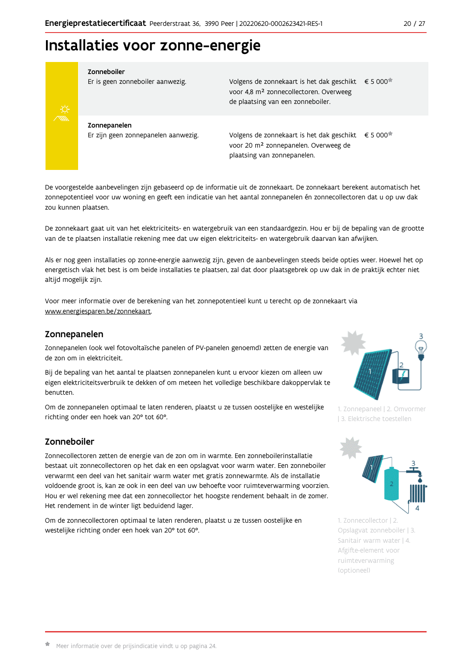## Installaties voor zonne-energie



Zonneboiler

Er is geen zonneboiler aanwezig.

Volgens de zonnekaart is het dak geschikt € 5 000 voor 4,8 m<sup>2</sup> zonnecollectoren. Overweeg de plaatsing van een zonneboiler.

Zonnepanelen Er zijn geen zonnepanelen aanwezig.

Volgens de zonnekaart is het dak geschikt  $\epsilon$  5 000<sup> $\star$ </sup> voor 20 m<sup>2</sup> zonnepanelen. Overweeg de plaatsing van zonnepanelen.

De voorgestelde aanbevelingen zijn gebaseerd op de informatie uit de zonnekaart. De zonnekaart berekent automatisch het zonnepotentieel voor uw woning en geeft een indicatie van het aantal zonnepanelen én zonnecollectoren dat u op uw dak zou kunnen plaatsen.

De zonnekaart gaat uit van het elektriciteits- en watergebruik van een standaardgezin. Hou er bij de bepaling van de grootte van de te plaatsen installatie rekening mee dat uw eigen elektriciteits- en watergebruik daarvan kan afwijken.

Als er nog geen installaties op zonne-energie aanwezig zijn, geven de aanbevelingen steeds beide opties weer. Hoewel het op energetisch vlak het best is om beide installaties te plaatsen, zal dat door plaatsgebrek op uw dak in de praktijk echter niet altijd mogelijk zijn.

Voor meer informatie over de berekening van het zonnepotentieel kunt u terecht op de zonnekaart via www.energiesparen.be/zonnekaart.

#### Zonnepanelen

Zonnepanelen (ook wel fotovoltaïsche panelen of PV-panelen genoemd) zetten de energie van de zon om in elektriciteit.

Bij de bepaling van het aantal te plaatsen zonnepanelen kunt u ervoor kiezen om alleen uw eigen elektriciteitsverbruik te dekken of om meteen het volledige beschikbare dakoppervlak te benutten.

Om de zonnepanelen optimaal te laten renderen, plaatst u ze tussen oostelijke en westelijke richting onder een hoek van 20° tot 60°.

### Zonneboiler

Zonnecollectoren zetten de energie van de zon om in warmte. Een zonneboilerinstallatie bestaat uit zonnecollectoren op het dak en een opslagvat voor warm water. Een zonneboiler verwarmt een deel van het sanitair warm water met gratis zonnewarmte. Als de installatie voldoende groot is, kan ze ook in een deel van uw behoefte voor ruimteverwarming voorzien. Hou er wel rekening mee dat een zonnecollector het hoogste rendement behaalt in de zomer. Het rendement in de winter ligt beduidend lager.

Om de zonnecollectoren optimaal te laten renderen, plaatst u ze tussen oostelijke en westelijke richting onder een hoek van 20° tot 60°.



1. Zonnepaneel | 2. Omvormer | 3. Elektrische toestellen



1. Zonnecollector | 2. Opslagvat zonneboiler | 3. Sanitair warm water | 4. Afgifte-element voor ruimteverwarming (optioneel)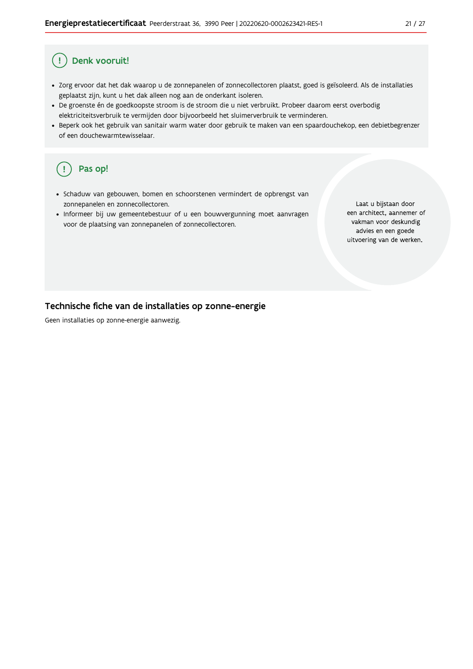#### Ţ Denk vooruit!

- · Zorg ervoor dat het dak waarop u de zonnepanelen of zonnecollectoren plaatst, goed is geïsoleerd. Als de installaties geplaatst zijn, kunt u het dak alleen nog aan de onderkant isoleren.
- · De groenste én de goedkoopste stroom is de stroom die u niet verbruikt. Probeer daarom eerst overbodig elektriciteitsverbruik te vermijden door bijvoorbeeld het sluimerverbruik te verminderen.
- · Beperk ook het gebruik van sanitair warm water door gebruik te maken van een spaardouchekop, een debietbegrenzer of een douchewarmtewisselaar.

#### Pas op! ( !

- · Schaduw van gebouwen, bomen en schoorstenen vermindert de opbrengst van zonnepanelen en zonnecollectoren.
- Informeer bij uw gemeentebestuur of u een bouwvergunning moet aanvragen voor de plaatsing van zonnepanelen of zonnecollectoren.

Laat u bijstaan door een architect, aannemer of vakman voor deskundig advies en een goede uitvoering van de werken.

#### Technische fiche van de installaties op zonne-energie

Geen installaties op zonne-energie aanwezig.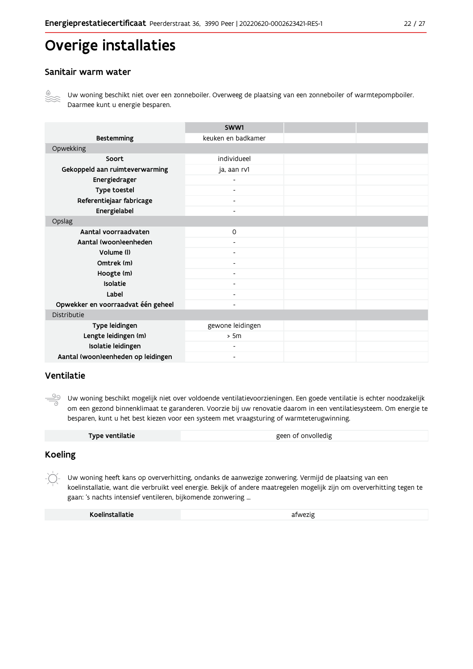## Overige installaties

#### Sanitair warm water



Uw woning beschikt niet over een zonneboiler. Overweeg de plaatsing van een zonneboiler of warmtepompboiler. Daarmee kunt u energie besparen.

|                                    | SWW1                     |  |
|------------------------------------|--------------------------|--|
| <b>Bestemming</b>                  | keuken en badkamer       |  |
| Opwekking                          |                          |  |
| Soort                              | individueel              |  |
| Gekoppeld aan ruimteverwarming     | ja, aan rv1              |  |
| Energiedrager                      |                          |  |
| Type toestel                       |                          |  |
| Referentiejaar fabricage           | $\overline{\phantom{a}}$ |  |
| Energielabel                       | $\blacksquare$           |  |
| Opslag                             |                          |  |
| Aantal voorraadvaten               | 0                        |  |
| Aantal (woon)eenheden              |                          |  |
| Volume (I)                         | $\overline{\phantom{a}}$ |  |
| Omtrek (m)                         | $\overline{\phantom{0}}$ |  |
| Hoogte (m)                         |                          |  |
| Isolatie                           | ٠                        |  |
| Label                              | $\overline{\phantom{a}}$ |  |
| Opwekker en voorraadvat één geheel | -                        |  |
| Distributie                        |                          |  |
| Type leidingen                     | gewone leidingen         |  |
| Lengte leidingen (m)               | > 5m                     |  |
| Isolatie leidingen                 | ۰                        |  |
| Aantal (woon)eenheden op leidingen | $\overline{\phantom{0}}$ |  |

#### Ventilatie

<u>99</u> Uw woning beschikt mogelijk niet over voldoende ventilatievoorzieningen. Een goede ventilatie is echter noodzakelijk om een gezond binnenklimaat te garanderen. Voorzie bij uw renovatie daarom in een ventilatiesysteem. Om energie te besparen, kunt u het best kiezen voor een systeem met vraagsturing of warmteterugwinning.

| Type ventilatie | geen of onvolledig |
|-----------------|--------------------|
|                 |                    |

#### **Koeling**

 $-\bigcirc$ Uw woning heeft kans op oververhitting, ondanks de aanwezige zonwering. Vermijd de plaatsing van een koelinstallatie, want die verbruikt veel energie. Bekijk of andere maatregelen mogelijk zijn om oververhitting tegen te gaan: 's nachts intensief ventileren, bijkomende zonwering ...

| Koelinstallatie | afwezig |
|-----------------|---------|
|                 |         |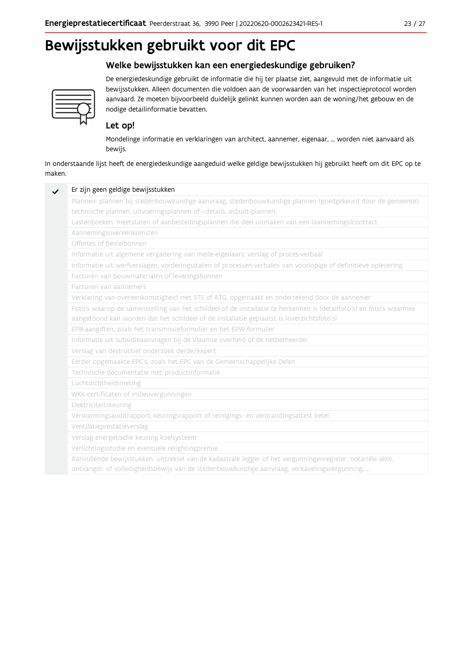## Bewijsstukken gebruikt voor dit EPC

#### Welke bewijsstukken kan een energiedeskundige gebruiken?



De energiedeskundige gebruikt de informatie die hij ter plaatse ziet, aangevuld met de informatie uit bewijsstukken. Alleen documenten die voldoen aan de voorwaarden van het inspectieprotocol worden aanvaard. Ze moeten bijvoorbeeld duidelijk gelinkt kunnen worden aan de woning/het gebouw en de nodige detailinformatie bevatten.

#### Let op!

Mondelinge informatie en verklaringen van architect, aannemer, eigenaar, ... worden niet aanvaard als bewijs.

In onderstaande lijst heeft de energiedeskundige aangeduid welke geldige bewijsstukken hij gebruikt heeft om dit EPC op te maken.

| Plannen: plannen bij stedenbouwkundige aanvraag, stedenbouwkundige plannen (goedgekeurd door de gemeente),          |
|---------------------------------------------------------------------------------------------------------------------|
| technische plannen, uitvoeringsplannen of -details, asbuilt-plannen                                                 |
| Lastenboeken, meetstaten of aanbestedingsplannen die deel uitmaken van een (aannemings)contract                     |
| Aannemingsovereenkomsten                                                                                            |
| Offertes of bestelbonnen                                                                                            |
| Informatie uit algemene vergadering van mede-eigenaars: verslag of proces-verbaal                                   |
| Informatie uit werfverslagen, vorderingsstaten of processen-verbalen van voorlopige of definitieve oplevering       |
| Facturen van bouwmaterialen of leveringsbonnen                                                                      |
| Facturen van aannemers                                                                                              |
| Verklaring van overeenkomstigheid met STS of ATG, opgemaakt en ondertekend door de aannemer                         |
| Foto's waarop de samenstelling van het schildeel of de installatie te herkennen is (detailfoto's) en foto's waarmee |
| aangetoond kan worden dat het schildeel of de installatie geplaatst is (overzichtsfoto's)                           |
| EPB-aangiften, zoals het transmissieformulier en het EPW-formulier                                                  |
| Informatie uit subsidieaanvragen bij de Vlaamse overheid of de netbetheerder                                        |
| Verslag van destructief onderzoek derde/expert                                                                      |
| Eerder opgemaakte EPC's, zoals het EPC van de Gemeenschappelijke Delen                                              |
| Technische documentatie met productinformatie                                                                       |
| Luchtdichtheidsmeting                                                                                               |
| WKK-certificaten of milieuvergunningen                                                                              |
| Elektriciteitskeuring                                                                                               |
| Verwarmingsauditrapport, keuringsrapport of reinigings- en verbrandingsattest ketel                                 |
| Ventilatieprestatieverslag                                                                                          |
| Verslag energetische keuring koelsysteem                                                                            |
| Verlichtingsstudie en eventuele relightingpremie                                                                    |
| Aanvullende bewijsstukken: uittreksel van de kadastrale legger of het vergunningenregister, notariële akte,         |
| ontvangst- of volledigheidsbewijs van de stedenbouwkundige aanvraag, verkavelingsvergunning,                        |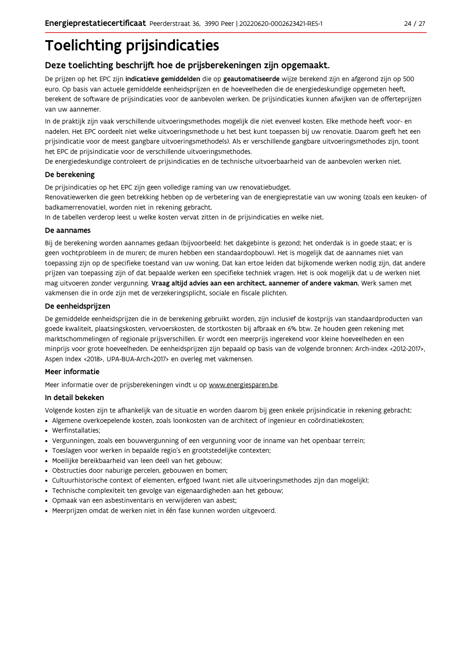## **Toelichting prijsindicaties**

### Deze toelichting beschrijft hoe de prijsberekeningen zijn opgemaakt.

De prijzen op het EPC zijn indicatieve gemiddelden die op geautomatiseerde wijze berekend zijn en afgerond zijn op 500 euro. Op basis van actuele gemiddelde eenheidsprijzen en de hoeveelheden die de energiedeskundige opgemeten heeft, berekent de software de prijsindicaties voor de aanbevolen werken. De prijsindicaties kunnen afwijken van de offerteprijzen van uw aannemer.

In de praktijk zijn vaak verschillende uitvoeringsmethodes mogelijk die niet evenveel kosten. Elke methode heeft voor- en nadelen. Het EPC oordeelt niet welke uitvoeringsmethode u het best kunt toepassen bij uw renovatie. Daarom geeft het een prijsindicatie voor de meest gangbare uitvoeringsmethode(s). Als er verschillende gangbare uitvoeringsmethodes zijn, toont het EPC de prijsindicatie voor de verschillende uitvoeringsmethodes.

De energiedeskundige controleert de prijsindicaties en de technische uitvoerbaarheid van de aanbevolen werken niet.

#### De berekening

De prijsindicaties op het EPC zijn geen volledige raming van uw renovatiebudget.

Renovatiewerken die geen betrekking hebben op de verbetering van de energieprestatie van uw woning (zoals een keuken- of badkamerrenovatie), worden niet in rekening gebracht.

In de tabellen verderop leest u welke kosten vervat zitten in de prijsindicaties en welke niet.

#### De aannames

Bij de berekening worden aannames gedaan (bijvoorbeeld: het dakgebinte is gezond; het onderdak is in goede staat; er is geen vochtprobleem in de muren; de muren hebben een standaardopbouw). Het is mogelijk dat de aannames niet van toepassing zijn op de specifieke toestand van uw woning. Dat kan ertoe leiden dat bijkomende werken nodig zijn, dat andere prijzen van toepassing zijn of dat bepaalde werken een specifieke techniek vragen. Het is ook mogelijk dat u de werken niet mag uitvoeren zonder vergunning. Vraag altijd advies aan een architect, aannemer of andere vakman. Werk samen met vakmensen die in orde zijn met de verzekeringsplicht, sociale en fiscale plichten.

#### De eenheidsprijzen

De gemiddelde eenheidspriizen die in de berekening gebruikt worden, zijn inclusief de kostpriis van standaardproducten van goede kwaliteit, plaatsingskosten, vervoerskosten, de stortkosten bij afbraak en 6% btw. Ze houden geen rekening met marktschommelingen of regionale prijsverschillen. Er wordt een meerprijs ingerekend voor kleine hoeveelheden en een minprijs voor grote hoeveelheden. De eenheidsprijzen zijn bepaald op basis van de volgende bronnen: Arch-index <2012-2017>, Aspen Index <2018>, UPA-BUA-Arch<2017> en overleg met vakmensen.

#### Meer informatie

Meer informatie over de prijsberekeningen vindt u op www.energiesparen.be.

#### In detail bekeken

Volgende kosten zijn te afhankelijk van de situatie en worden daarom bij geen enkele prijsindicatie in rekening gebracht:

- Algemene overkoepelende kosten, zoals loonkosten van de architect of ingenieur en coördinatiekosten;
- Werfinstallaties:
- · Vergunningen, zoals een bouwvergunning of een vergunning voor de inname van het openbaar terrein;
- Toeslagen voor werken in bepaalde regio's en grootstedelijke contexten:
- · Moeilijke bereikbaarheid van (een deel) van het gebouw;
- · Obstructies door naburige percelen, gebouwen en bomen;
- · Cultuurhistorische context of elementen, erfgoed (want niet alle uitvoeringsmethodes zijn dan mogelijk);
- · Technische complexiteit ten gevolge van eigenaardigheden aan het gebouw;
- · Opmaak van een asbestinventaris en verwijderen van asbest;
- · Meerprijzen omdat de werken niet in één fase kunnen worden uitgevoerd.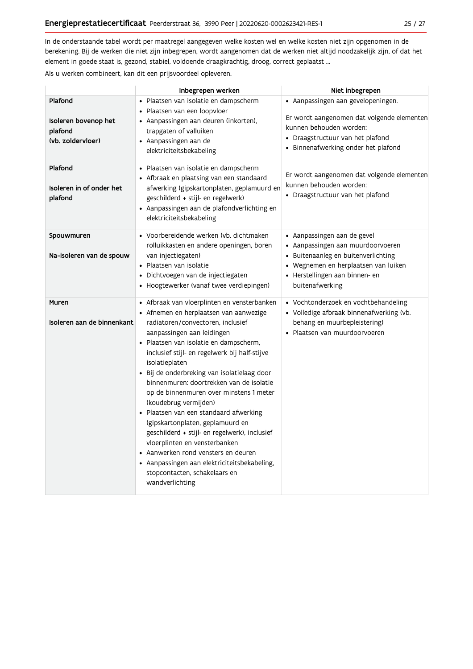In de onderstaande tabel wordt per maatregel aangegeven welke kosten wel en welke kosten niet zijn opgenomen in de berekening. Bij de werken die niet zijn inbegrepen, wordt aangenomen dat de werken niet altijd noodzakelijk zijn, of dat het element in goede staat is, gezond, stabiel, voldoende draagkrachtig, droog, correct geplaatst ...

Als u werken combineert, kan dit een prijsvoordeel opleveren.

|                                                                 | Inbegrepen werken                                                                                                                                                                                                                                                                                                                                                                                                                                                                                                                                                                                                                                                                                                                               | Niet inbegrepen                                                                                                                                                                                              |
|-----------------------------------------------------------------|-------------------------------------------------------------------------------------------------------------------------------------------------------------------------------------------------------------------------------------------------------------------------------------------------------------------------------------------------------------------------------------------------------------------------------------------------------------------------------------------------------------------------------------------------------------------------------------------------------------------------------------------------------------------------------------------------------------------------------------------------|--------------------------------------------------------------------------------------------------------------------------------------------------------------------------------------------------------------|
| Plafond<br>Isoleren bovenop het<br>plafond<br>(vb. zoldervloer) | · Plaatsen van isolatie en dampscherm<br>Plaatsen van een loopvloer<br>• Aanpassingen aan deuren (inkorten),<br>trapgaten of valluiken<br>$\bullet$ Aanpassingen aan de<br>elektriciteitsbekabeling                                                                                                                                                                                                                                                                                                                                                                                                                                                                                                                                             | $\bullet$ Aanpassingen aan gevelopeningen.<br>Er wordt aangenomen dat volgende elementen<br>kunnen behouden worden:<br>• Draagstructuur van het plafond<br>· Binnenafwerking onder het plafond               |
| Plafond<br>Isoleren in of onder het<br>plafond                  | • Plaatsen van isolatie en dampscherm<br>• Afbraak en plaatsing van een standaard<br>afwerking (gipskartonplaten, geplamuurd en<br>geschilderd + stijl- en regelwerk)<br>• Aanpassingen aan de plafondverlichting en<br>elektriciteitsbekabeling                                                                                                                                                                                                                                                                                                                                                                                                                                                                                                | Er wordt aangenomen dat volgende elementen<br>kunnen behouden worden:<br>• Draagstructuur van het plafond                                                                                                    |
| Spouwmuren<br>Na-isoleren van de spouw                          | • Voorbereidende werken (vb. dichtmaken<br>rolluikkasten en andere openingen, boren<br>van injectiegaten)<br>• Plaatsen van isolatie<br>• Dichtvoegen van de injectiegaten<br>• Hoogtewerker (vanaf twee verdiepingen)                                                                                                                                                                                                                                                                                                                                                                                                                                                                                                                          | · Aanpassingen aan de gevel<br>$\bullet$ Aanpassingen aan muurdoorvoeren<br>• Buitenaanleg en buitenverlichting<br>· Wegnemen en herplaatsen van luiken<br>• Herstellingen aan binnen- en<br>buitenafwerking |
| Muren<br>Isoleren aan de binnenkant                             | • Afbraak van vloerplinten en vensterbanken<br>· Afnemen en herplaatsen van aanwezige<br>radiatoren/convectoren, inclusief<br>aanpassingen aan leidingen<br>• Plaatsen van isolatie en dampscherm,<br>inclusief stijl- en regelwerk bij half-stijve<br>isolatieplaten<br>• Bij de onderbreking van isolatielaag door<br>binnenmuren: doortrekken van de isolatie<br>op de binnenmuren over minstens 1 meter<br>(koudebrug vermijden)<br>· Plaatsen van een standaard afwerking<br>(gipskartonplaten, geplamuurd en<br>geschilderd + stijl- en regelwerk), inclusief<br>vloerplinten en vensterbanken<br>• Aanwerken rond vensters en deuren<br>• Aanpassingen aan elektriciteitsbekabeling,<br>stopcontacten, schakelaars en<br>wandverlichting | • Vochtonderzoek en vochtbehandeling<br>• Volledige afbraak binnenafwerking (vb.<br>behang en muurbepleistering)<br>· Plaatsen van muurdoorvoeren                                                            |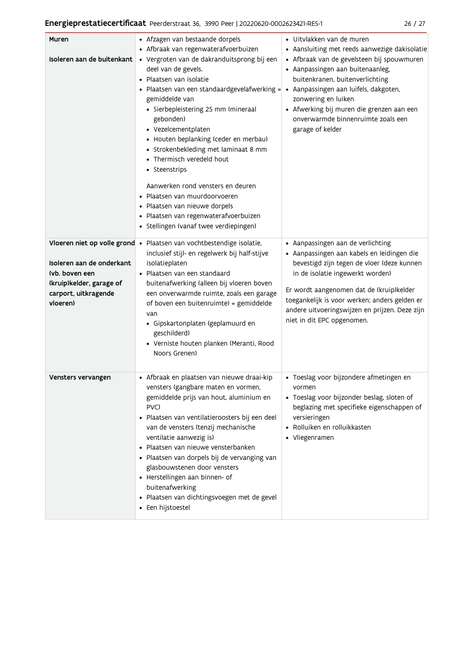### Energieprestatiecertificaat Peerderstraat 36, 3990 Peer | 20220620-0002623421-RES-1

| × |  |
|---|--|
|   |  |

| Muren<br>Isoleren aan de buitenkant                                                                                                          | • Afzagen van bestaande dorpels<br>• Afbraak van regenwaterafvoerbuizen<br>· Vergroten van de dakranduitsprong bij een<br>deel van de gevels.<br>· Plaatsen van isolatie<br>Plaatsen van een standaardgevelafwerking =<br>gemiddelde van<br>· Sierbepleistering 25 mm (mineraal<br>gebonden)<br>• Vezelcementplaten<br>• Houten beplanking (ceder en merbau)<br>• Strokenbekleding met laminaat 8 mm<br>• Thermisch veredeld hout<br>• Steenstrips<br>Aanwerken rond vensters en deuren<br>Plaatsen van muurdoorvoeren<br>· Plaatsen van nieuwe dorpels<br>· Plaatsen van regenwaterafvoerbuizen<br>· Stellingen (vanaf twee verdiepingen) | $\bullet\,$ Uitvlakken van de muren<br>• Aansluiting met reeds aanwezige dakisolatie<br>· Afbraak van de gevelsteen bij spouwmuren<br>• Aanpassingen aan buitenaanleg,<br>buitenkranen, buitenverlichting<br>· Aanpassingen aan luifels, dakgoten,<br>zonwering en luiken<br>• Afwerking bij muren die grenzen aan een<br>onverwarmde binnenruimte zoals een<br>garage of kelder |
|----------------------------------------------------------------------------------------------------------------------------------------------|--------------------------------------------------------------------------------------------------------------------------------------------------------------------------------------------------------------------------------------------------------------------------------------------------------------------------------------------------------------------------------------------------------------------------------------------------------------------------------------------------------------------------------------------------------------------------------------------------------------------------------------------|----------------------------------------------------------------------------------------------------------------------------------------------------------------------------------------------------------------------------------------------------------------------------------------------------------------------------------------------------------------------------------|
| Vloeren niet op volle grond •<br>Isoleren aan de onderkant<br>(vb. boven een<br>(kruip)kelder, garage of<br>carport, uitkragende<br>vloeren) | Plaatsen van vochtbestendige isolatie,<br>inclusief stijl- en regelwerk bij half-stijve<br>isolatieplaten<br>· Plaatsen van een standaard<br>buitenafwerking (alleen bij vloeren boven<br>een onverwarmde ruimte, zoals een garage<br>of boven een buitenruimte) = gemiddelde<br>van<br>· Gipskartonplaten (geplamuurd en<br>geschilderd)<br>· Verniste houten planken (Meranti, Rood<br>Noors Grenen)                                                                                                                                                                                                                                     | • Aanpassingen aan de verlichting<br>· Aanpassingen aan kabels en leidingen die<br>bevestigd zijn tegen de vloer (deze kunnen<br>in de isolatie ingewerkt worden)<br>Er wordt aangenomen dat de (kruip)kelder<br>toegankelijk is voor werken; anders gelden er<br>andere uitvoeringswijzen en prijzen. Deze zijn<br>niet in dit EPC opgenomen.                                   |
| Vensters vervangen                                                                                                                           | · Afbraak en plaatsen van nieuwe draai-kip<br>vensters (gangbare maten en vormen,<br>gemiddelde prijs van hout, aluminium en<br>PVC)<br>Plaatsen van ventilatieroosters bij een deel<br>$\bullet$<br>van de vensters (tenzij mechanische<br>ventilatie aanwezig is)<br>Plaatsen van nieuwe vensterbanken<br>· Plaatsen van dorpels bij de vervanging van<br>glasbouwstenen door vensters<br>• Herstellingen aan binnen- of<br>buitenafwerking<br>· Plaatsen van dichtingsvoegen met de gevel<br>• Een hijstoestel                                                                                                                          | · Toeslag voor bijzondere afmetingen en<br>vormen<br>• Toeslag voor bijzonder beslag, sloten of<br>beglazing met specifieke eigenschappen of<br>versieringen<br>· Rolluiken en rolluikkasten<br>• Vliegenramen                                                                                                                                                                   |